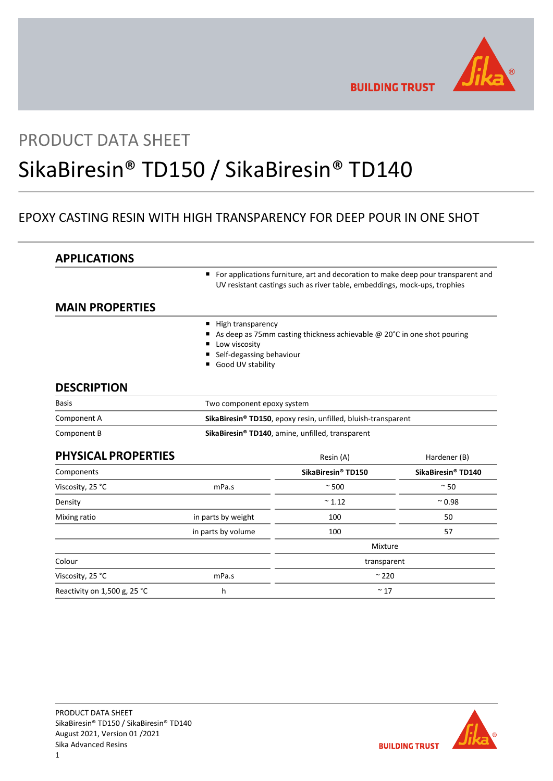

**BUILDING TRUST** 

# PRODUCT DATA SHEET

# SikaBiresin® TD150 / SikaBiresin® TD140

# EPOXY CASTING RESIN WITH HIGH TRANSPARENCY FOR DEEP POUR IN ONE SHOT

| <b>APPLICATIONS</b>        |                                                                                                                                                               |                                                                         |                    |
|----------------------------|---------------------------------------------------------------------------------------------------------------------------------------------------------------|-------------------------------------------------------------------------|--------------------|
|                            | For applications furniture, art and decoration to make deep pour transparent and<br>UV resistant castings such as river table, embeddings, mock-ups, trophies |                                                                         |                    |
| <b>MAIN PROPERTIES</b>     |                                                                                                                                                               |                                                                         |                    |
|                            | High transparency<br>٠<br>Low viscosity<br>Self-degassing behaviour<br>Good UV stability                                                                      | As deep as 75mm casting thickness achievable @ 20°C in one shot pouring |                    |
| <b>DESCRIPTION</b>         |                                                                                                                                                               |                                                                         |                    |
| <b>Basis</b>               | Two component epoxy system                                                                                                                                    |                                                                         |                    |
| Component A                | SikaBiresin® TD150, epoxy resin, unfilled, bluish-transparent                                                                                                 |                                                                         |                    |
| Component B                | SikaBiresin® TD140, amine, unfilled, transparent                                                                                                              |                                                                         |                    |
| <b>PHYSICAL PROPERTIES</b> |                                                                                                                                                               | Resin (A)                                                               | Hardener (B)       |
| Components                 |                                                                                                                                                               | SikaBiresin® TD150                                                      | SikaBiresin® TD140 |
| Viscosity, 25 °C           | mPa.s                                                                                                                                                         | $~^{\circ}$ 500                                                         | $~\sim$ 50         |
| Density                    |                                                                                                                                                               | $~^{\sim}$ 1.12                                                         | $^{\sim}$ 0.98     |
| Mixing ratio               | in parts by weight                                                                                                                                            | 100                                                                     | 50                 |
|                            | in parts by volume                                                                                                                                            | 100                                                                     | 57                 |
|                            |                                                                                                                                                               | Mixture                                                                 |                    |
| Colour                     |                                                                                                                                                               | transparent                                                             |                    |
|                            |                                                                                                                                                               | $~^{\sim}$ 220                                                          |                    |
| Viscosity, 25 °C           | mPa.s                                                                                                                                                         |                                                                         |                    |

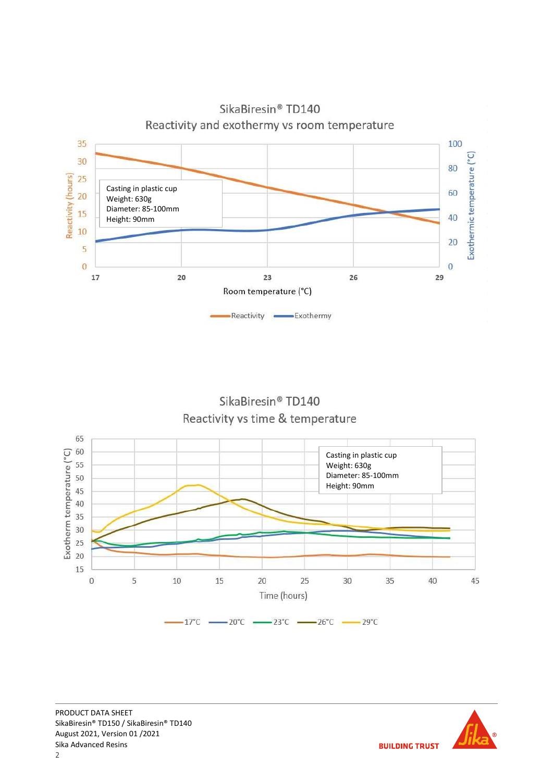

SikaBiresin® TD140 Reactivity vs time & temperature



**BUILDING TRUST**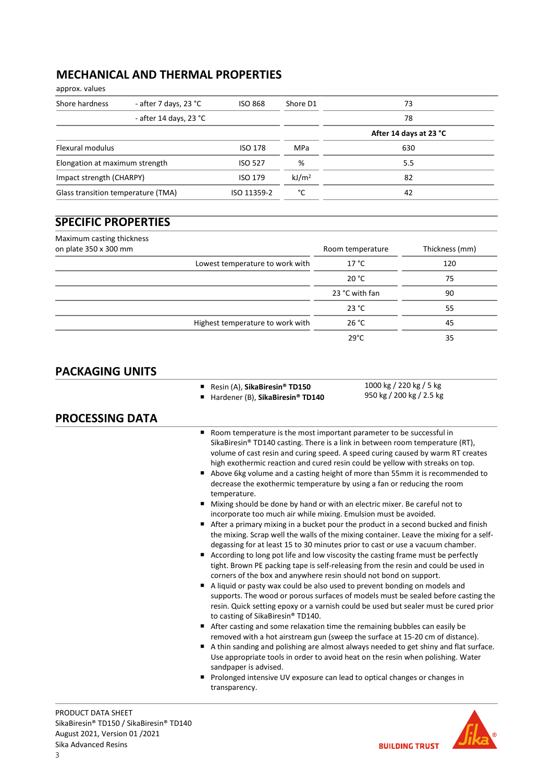# MECHANICAL AND THERMAL PROPERTIES

approx. values

| Shore hardness                     | - after 7 days, 23 °C  | <b>ISO 868</b> | Shore D1          | 73                     |
|------------------------------------|------------------------|----------------|-------------------|------------------------|
|                                    | - after 14 days, 23 °C |                |                   | 78                     |
|                                    |                        |                |                   | After 14 days at 23 °C |
| Flexural modulus                   |                        | <b>ISO 178</b> | MPa               | 630                    |
| Elongation at maximum strength     |                        | ISO 527        | %                 | 5.5                    |
| Impact strength (CHARPY)           |                        | ISO 179        | kJ/m <sup>2</sup> | 82                     |
| Glass transition temperature (TMA) |                        | ISO 11359-2    | °C                | 42                     |

# SPECIFIC PROPERTIES

| Maximum casting thickness |                                  |                  |                |
|---------------------------|----------------------------------|------------------|----------------|
| on plate 350 x 300 mm     |                                  | Room temperature | Thickness (mm) |
|                           | Lowest temperature to work with  | 17 °C            | 120            |
|                           |                                  | 20 °C            | 75             |
|                           |                                  | 23 °C with fan   | 90             |
|                           |                                  | 23 °C            | 55             |
|                           | Highest temperature to work with | 26 °C            | 45             |
|                           |                                  | $29^{\circ}$ C   | 35             |

## PACKAGING UNITS

|  |  |  | Resin (A), SikaBiresin <sup>®</sup> TD150 |  |
|--|--|--|-------------------------------------------|--|
|--|--|--|-------------------------------------------|--|

- Hardener (B), SikaBiresin® TD140
- 1000 kg / 220 kg / 5 kg 950 kg / 200 kg / 2.5 kg

### PROCESSING DATA

- Room temperature is the most important parameter to be successful in SikaBiresin® TD140 casting. There is a link in between room temperature (RT), volume of cast resin and curing speed. A speed curing caused by warm RT creates high exothermic reaction and cured resin could be yellow with streaks on top.
- Above 6kg volume and a casting height of more than 55mm it is recommended to decrease the exothermic temperature by using a fan or reducing the room temperature.
- Mixing should be done by hand or with an electric mixer. Be careful not to incorporate too much air while mixing. Emulsion must be avoided.
- After a primary mixing in a bucket pour the product in a second bucked and finish the mixing. Scrap well the walls of the mixing container. Leave the mixing for a selfdegassing for at least 15 to 30 minutes prior to cast or use a vacuum chamber.
- According to long pot life and low viscosity the casting frame must be perfectly tight. Brown PE packing tape is self-releasing from the resin and could be used in corners of the box and anywhere resin should not bond on support.
- A liquid or pasty wax could be also used to prevent bonding on models and supports. The wood or porous surfaces of models must be sealed before casting the resin. Quick setting epoxy or a varnish could be used but sealer must be cured prior to casting of SikaBiresin® TD140.
- After casting and some relaxation time the remaining bubbles can easily be removed with a hot airstream gun (sweep the surface at 15-20 cm of distance).
- A thin sanding and polishing are almost always needed to get shiny and flat surface. Use appropriate tools in order to avoid heat on the resin when polishing. Water sandpaper is advised.
- **Prolonged intensive UV exposure can lead to optical changes or changes in** transparency.

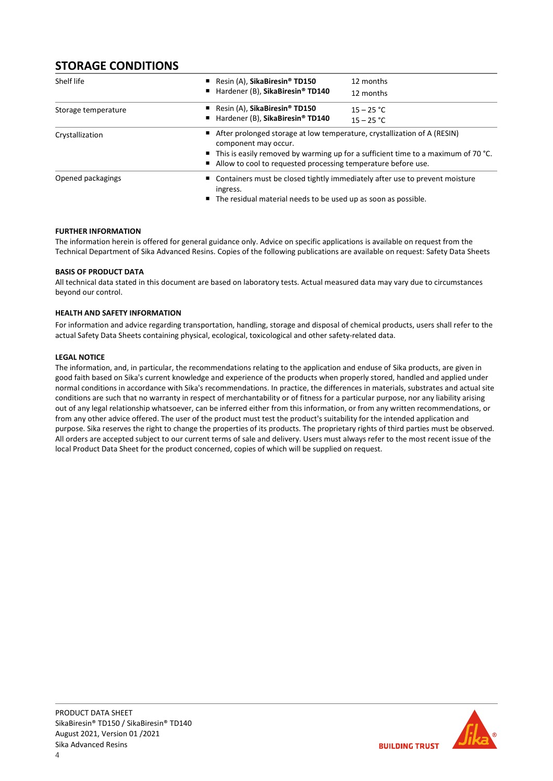# STORAGE CONDITIONS

| Shelf life          | Resin $(A)$ , SikaBiresin <sup>®</sup> TD150<br>■ Hardener (B), SikaBiresin® TD140 | 12 months<br>12 months                                                                                                                                                                                                                          |  |  |
|---------------------|------------------------------------------------------------------------------------|-------------------------------------------------------------------------------------------------------------------------------------------------------------------------------------------------------------------------------------------------|--|--|
| Storage temperature | Resin $(A)$ , SikaBiresin <sup>®</sup> TD150<br>■ Hardener (B), SikaBiresin® TD140 | $15 - 25 °C$<br>$15 - 25 °C$                                                                                                                                                                                                                    |  |  |
| Crystallization     | component may occur.                                                               | ■ After prolonged storage at low temperature, crystallization of A (RESIN)<br>$\blacksquare$ This is easily removed by warming up for a sufficient time to a maximum of 70 °C.<br>Allow to cool to requested processing temperature before use. |  |  |
| Opened packagings   | ingress.                                                                           | ■ Containers must be closed tightly immediately after use to prevent moisture<br>■ The residual material needs to be used up as soon as possible.                                                                                               |  |  |

#### FURTHER INFORMATION

The information herein is offered for general guidance only. Advice on specific applications is available on request from the Technical Department of Sika Advanced Resins. Copies of the following publications are available on request: Safety Data Sheets

#### BASIS OF PRODUCT DATA

All technical data stated in this document are based on laboratory tests. Actual measured data may vary due to circumstances beyond our control.

#### HEALTH AND SAFETY INFORMATION

For information and advice regarding transportation, handling, storage and disposal of chemical products, users shall refer to the actual Safety Data Sheets containing physical, ecological, toxicological and other safety-related data.

#### LEGAL NOTICE

The information, and, in particular, the recommendations relating to the application and enduse of Sika products, are given in good faith based on Sika's current knowledge and experience of the products when properly stored, handled and applied under normal conditions in accordance with Sika's recommendations. In practice, the differences in materials, substrates and actual site conditions are such that no warranty in respect of merchantability or of fitness for a particular purpose, nor any liability arising out of any legal relationship whatsoever, can be inferred either from this information, or from any written recommendations, or from any other advice offered. The user of the product must test the product's suitability for the intended application and purpose. Sika reserves the right to change the properties of its products. The proprietary rights of third parties must be observed. All orders are accepted subject to our current terms of sale and delivery. Users must always refer to the most recent issue of the local Product Data Sheet for the product concerned, copies of which will be supplied on request.